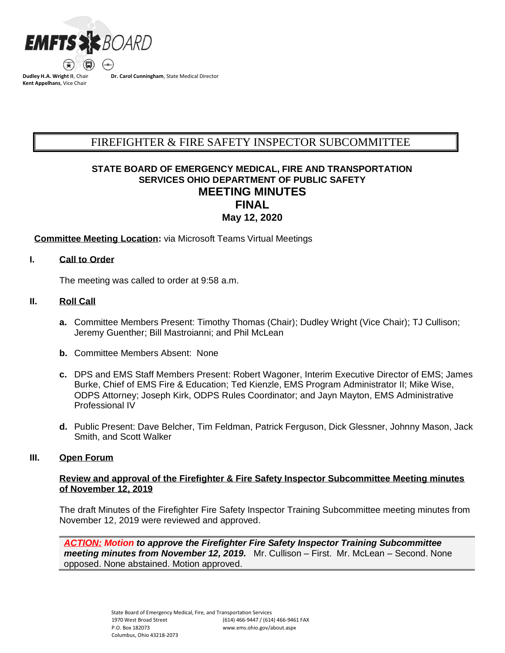

**Dudley H.A. Wright II**, Chair **Kent Appelhans**, Vice Chair

**Dr. Carol Cunningham**, State Medical Director

# FIREFIGHTER & FIRE SAFETY INSPECTOR SUBCOMMITTEE BCSUBCOMMITTEESUBCOMMITTEESUURINE EESTI EESTI EESTI EESTI EESTI EESTI EESTI EESTI EESTI EESTI EESTI EESTI EES<br>Subcommitteesubcommitteesubcommitteesubcommitteesubcommitteesubcommitteesubcommitteesubcommitteesubcommitteesu

# **STATE BOARD OF EMERGENCY MEDICAL, FIRE AND TRANSPORTATION SERVICES OHIO DEPARTMENT OF PUBLIC SAFETY MEETING MINUTES FINAL May 12, 2020**

#### **Committee Meeting Location:** via Microsoft Teams Virtual Meetings

#### **I. Call to Order**

The meeting was called to order at 9:58 a.m.

#### **II. Roll Call**

- **a.** Committee Members Present: Timothy Thomas (Chair); Dudley Wright (Vice Chair); TJ Cullison; Jeremy Guenther; Bill Mastroianni; and Phil McLean
- **b.** Committee Members Absent: None
- **c.** DPS and EMS Staff Members Present: Robert Wagoner, Interim Executive Director of EMS; James Burke, Chief of EMS Fire & Education; Ted Kienzle, EMS Program Administrator II; Mike Wise, ODPS Attorney; Joseph Kirk, ODPS Rules Coordinator; and Jayn Mayton, EMS Administrative Professional IV
- **d.** Public Present: Dave Belcher, Tim Feldman, Patrick Ferguson, Dick Glessner, Johnny Mason, Jack Smith, and Scott Walker

#### **III. Open Forum**

#### **Review and approval of the Firefighter & Fire Safety Inspector Subcommittee Meeting minutes of November 12, 2019**

The draft Minutes of the Firefighter Fire Safety Inspector Training Subcommittee meeting minutes from November 12, 2019 were reviewed and approved.

*ACTION: Motion to approve the Firefighter Fire Safety Inspector Training Subcommittee meeting minutes from November 12, 2019.* Mr. Cullison – First. Mr. McLean – Second. None opposed. None abstained. Motion approved.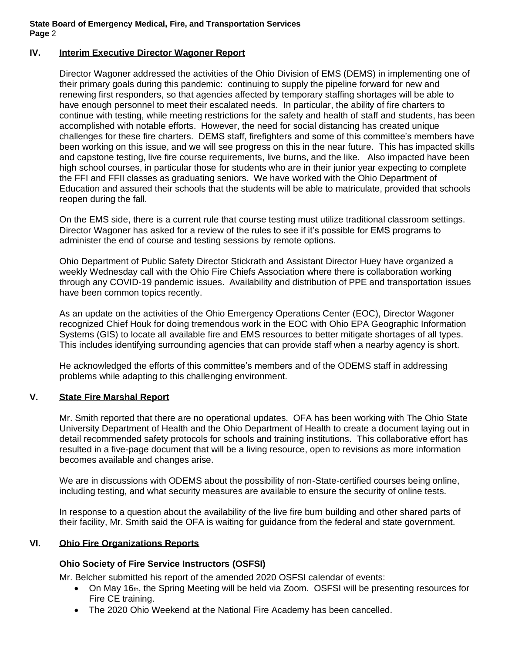#### **IV. Interim Executive Director Wagoner Report**

Director Wagoner addressed the activities of the Ohio Division of EMS (DEMS) in implementing one of their primary goals during this pandemic: continuing to supply the pipeline forward for new and renewing first responders, so that agencies affected by temporary staffing shortages will be able to have enough personnel to meet their escalated needs. In particular, the ability of fire charters to continue with testing, while meeting restrictions for the safety and health of staff and students, has been accomplished with notable efforts. However, the need for social distancing has created unique challenges for these fire charters. DEMS staff, firefighters and some of this committee's members have been working on this issue, and we will see progress on this in the near future. This has impacted skills and capstone testing, live fire course requirements, live burns, and the like. Also impacted have been high school courses, in particular those for students who are in their junior year expecting to complete the FFI and FFII classes as graduating seniors. We have worked with the Ohio Department of Education and assured their schools that the students will be able to matriculate, provided that schools reopen during the fall.

On the EMS side, there is a current rule that course testing must utilize traditional classroom settings. Director Wagoner has asked for a review of the rules to see if it's possible for EMS programs to administer the end of course and testing sessions by remote options.

Ohio Department of Public Safety Director Stickrath and Assistant Director Huey have organized a weekly Wednesday call with the Ohio Fire Chiefs Association where there is collaboration working through any COVID-19 pandemic issues. Availability and distribution of PPE and transportation issues have been common topics recently.

As an update on the activities of the Ohio Emergency Operations Center (EOC), Director Wagoner recognized Chief Houk for doing tremendous work in the EOC with Ohio EPA Geographic Information Systems (GIS) to locate all available fire and EMS resources to better mitigate shortages of all types. This includes identifying surrounding agencies that can provide staff when a nearby agency is short.

He acknowledged the efforts of this committee's members and of the ODEMS staff in addressing problems while adapting to this challenging environment.

#### **V. State Fire Marshal Report**

Mr. Smith reported that there are no operational updates. OFA has been working with The Ohio State University Department of Health and the Ohio Department of Health to create a document laying out in detail recommended safety protocols for schools and training institutions. This collaborative effort has resulted in a five-page document that will be a living resource, open to revisions as more information becomes available and changes arise.

We are in discussions with ODEMS about the possibility of non-State-certified courses being online, including testing, and what security measures are available to ensure the security of online tests.

In response to a question about the availability of the live fire burn building and other shared parts of their facility, Mr. Smith said the OFA is waiting for guidance from the federal and state government.

#### **VI. Ohio Fire Organizations Reports**

#### **Ohio Society of Fire Service Instructors (OSFSI)**

Mr. Belcher submitted his report of the amended 2020 OSFSI calendar of events:

- On May 16th, the Spring Meeting will be held via Zoom. OSFSI will be presenting resources for Fire CE training.
- The 2020 Ohio Weekend at the National Fire Academy has been cancelled.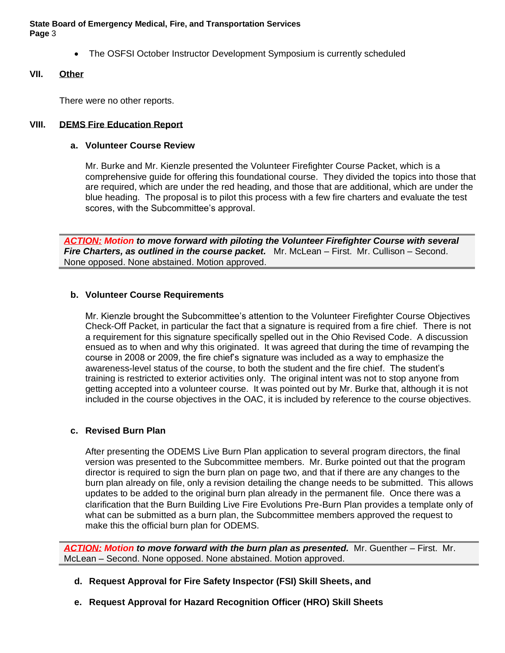• The OSFSI October Instructor Development Symposium is currently scheduled

#### **VII. Other**

There were no other reports.

### **VIII. DEMS Fire Education Report**

#### **a. Volunteer Course Review**

Mr. Burke and Mr. Kienzle presented the Volunteer Firefighter Course Packet, which is a comprehensive guide for offering this foundational course. They divided the topics into those that are required, which are under the red heading, and those that are additional, which are under the blue heading. The proposal is to pilot this process with a few fire charters and evaluate the test scores, with the Subcommittee's approval.

*ACTION: Motion to move forward with piloting the Volunteer Firefighter Course with several Fire Charters, as outlined in the course packet.* Mr. McLean – First. Mr. Cullison – Second. None opposed. None abstained. Motion approved.

#### **b. Volunteer Course Requirements**

Mr. Kienzle brought the Subcommittee's attention to the Volunteer Firefighter Course Objectives Check-Off Packet, in particular the fact that a signature is required from a fire chief. There is not a requirement for this signature specifically spelled out in the Ohio Revised Code. A discussion ensued as to when and why this originated. It was agreed that during the time of revamping the course in 2008 or 2009, the fire chief's signature was included as a way to emphasize the awareness-level status of the course, to both the student and the fire chief. The student's training is restricted to exterior activities only. The original intent was not to stop anyone from getting accepted into a volunteer course. It was pointed out by Mr. Burke that, although it is not included in the course objectives in the OAC, it is included by reference to the course objectives.

#### **c. Revised Burn Plan**

After presenting the ODEMS Live Burn Plan application to several program directors, the final version was presented to the Subcommittee members. Mr. Burke pointed out that the program director is required to sign the burn plan on page two, and that if there are any changes to the burn plan already on file, only a revision detailing the change needs to be submitted. This allows updates to be added to the original burn plan already in the permanent file. Once there was a clarification that the Burn Building Live Fire Evolutions Pre-Burn Plan provides a template only of what can be submitted as a burn plan, the Subcommittee members approved the request to make this the official burn plan for ODEMS.

**ACTION: Motion to move forward with the burn plan as presented.** Mr. Guenther – First. Mr. McLean – Second. None opposed. None abstained. Motion approved.

- **d. Request Approval for Fire Safety Inspector (FSI) Skill Sheets, and**
- **e. Request Approval for Hazard Recognition Officer (HRO) Skill Sheets**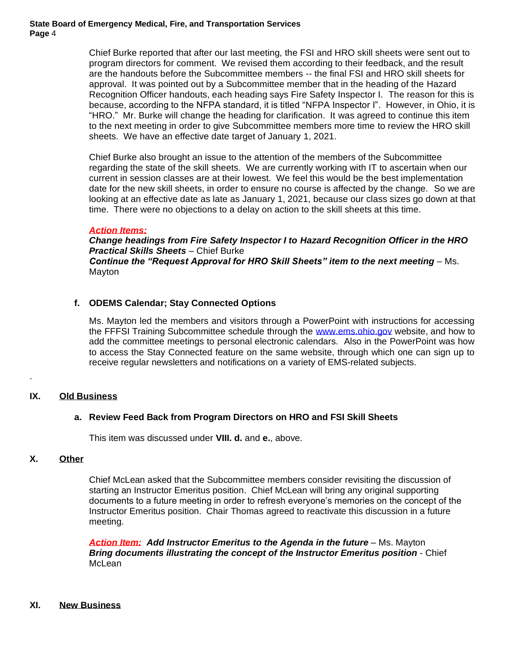> Chief Burke reported that after our last meeting, the FSI and HRO skill sheets were sent out to program directors for comment. We revised them according to their feedback, and the result are the handouts before the Subcommittee members -- the final FSI and HRO skill sheets for approval. It was pointed out by a Subcommittee member that in the heading of the Hazard Recognition Officer handouts, each heading says Fire Safety Inspector I. The reason for this is because, according to the NFPA standard, it is titled "NFPA Inspector I". However, in Ohio, it is "HRO." Mr. Burke will change the heading for clarification. It was agreed to continue this item to the next meeting in order to give Subcommittee members more time to review the HRO skill sheets. We have an effective date target of January 1, 2021.

> Chief Burke also brought an issue to the attention of the members of the Subcommittee regarding the state of the skill sheets. We are currently working with IT to ascertain when our current in session classes are at their lowest. We feel this would be the best implementation date for the new skill sheets, in order to ensure no course is affected by the change. So we are looking at an effective date as late as January 1, 2021, because our class sizes go down at that time. There were no objections to a delay on action to the skill sheets at this time.

#### *Action Items:*

*Change headings from Fire Safety Inspector I to Hazard Recognition Officer in the HRO Practical Skills Sheets* – Chief Burke *Continue the "Request Approval for HRO Skill Sheets" item to the next meeting* – Ms. Mayton

#### **f. ODEMS Calendar; Stay Connected Options**

Ms. Mayton led the members and visitors through a PowerPoint with instructions for accessing the FFFSI Training Subcommittee schedule through the [www.ems.ohio.gov](http://www.ems.ohio.gov/) website, and how to add the committee meetings to personal electronic calendars. Also in the PowerPoint was how to access the Stay Connected feature on the same website, through which one can sign up to receive regular newsletters and notifications on a variety of EMS-related subjects.

#### **IX. Old Business**

#### **a. Review Feed Back from Program Directors on HRO and FSI Skill Sheets**

This item was discussed under **VIII. d.** and **e.**, above.

#### **X. Other**

.

Chief McLean asked that the Subcommittee members consider revisiting the discussion of starting an Instructor Emeritus position. Chief McLean will bring any original supporting documents to a future meeting in order to refresh everyone's memories on the concept of the Instructor Emeritus position. Chair Thomas agreed to reactivate this discussion in a future meeting.

**Action Item: Add Instructor Emeritus to the Agenda in the future** – Ms. Mayton *Bring documents illustrating the concept of the Instructor Emeritus position* - Chief **McLean** 

#### **XI. New Business**